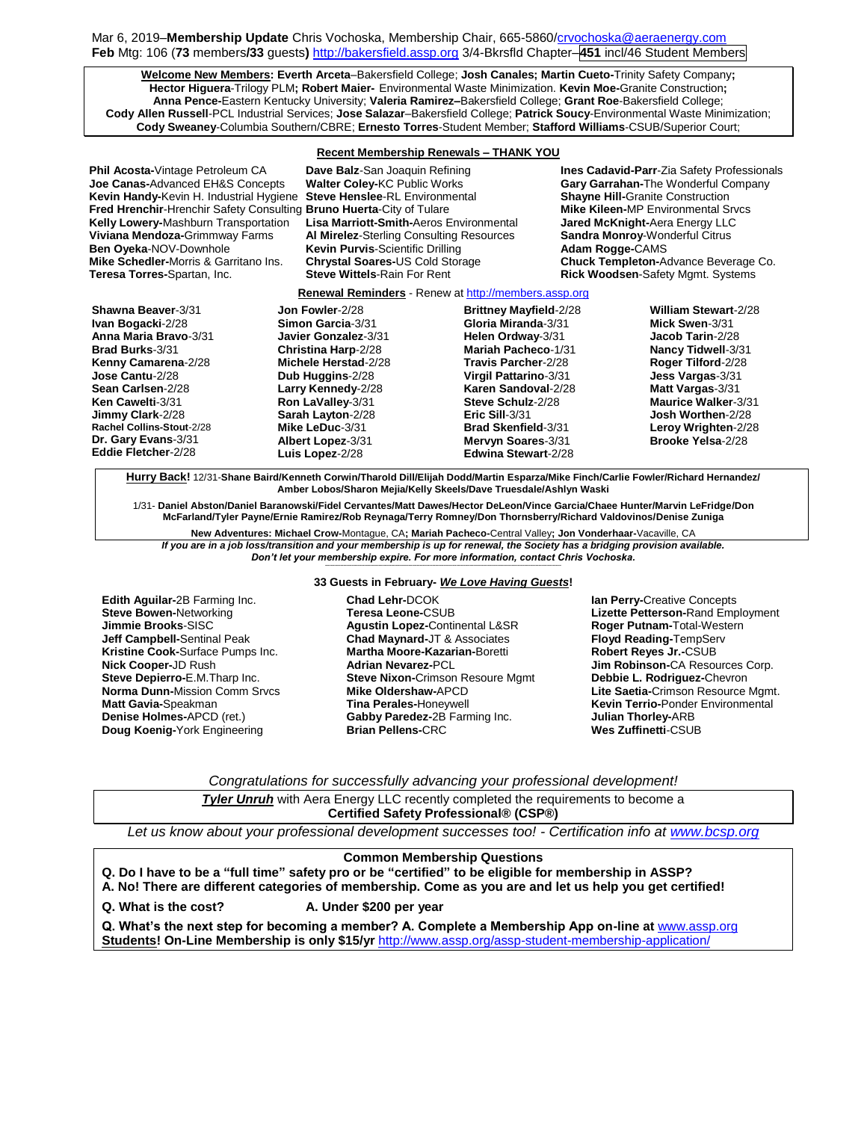Mar 6, 2019–**Membership Update** Chris Vochoska, Membership Chair, 665-586[0/crvochoska@aeraenergy.com](mailto:crvochoska@aeraenergy.com) **Feb** Mtg: 106 (**73** members**/33** guests**)** [http://bakersfield.assp.org](http://bakersfield.assp.org/) 3/4-Bkrsfld Chapter–**451** incl/46 Student Members

**Welcome New Members: Everth Arceta**–Bakersfield College; **Josh Canales; Martin Cueto-**Trinity Safety Company**; Hector Higuera**-Trilogy PLM**; Robert Maier-** Environmental Waste Minimization. **Kevin Moe-**Granite Construction**; Anna Pence-**Eastern Kentucky University; **Valeria Ramirez–**Bakersfield College; **Grant Roe**-Bakersfield College; **Cody Allen Russell**-PCL Industrial Services; **Jose Salazar**–Bakersfield College; **Patrick Soucy**-Environmental Waste Minimization; **Cody Sweaney**-Columbia Southern/CBRE; **Ernesto Torres**-Student Member; **Stafford Williams**-CSUB/Superior Court;

### **Recent Membership Renewals – THANK YOU**

**Fred Hrenchir-Hrenchir Safety Consulting Bruno Huerta-City of Tulare Ben Oyeka-NOV-Downhole <b>Kevin Purvis-Scientific Drilling**<br>**Mike Schedler-Morris & Garritano Ins. Chrystal Soares-US** Cold Storage

**Kevin Handy-**Kevin H. Industrial Hygiene **Steve Henslee**-RL Environmental **Shayne Hill-**Granite Construction **Kelly Lowery-**Mashburn Transportation **Lisa Marriott-Smith-**Aeros Environmental **Jared McKnight-**Aera Energy LLC **Viviana Mendoza-**Grimmway Farms **AI Mirelez-**Sterling Consulting Resources **Sandra Monroy-**Wor<br>**Ben Oyeka-N**OV-Downhole **Kevin Purvis**-Scientific Drilling **Adam Rogge-**CAMS **Teresa Torres-**Spartan, Inc. **Steve Wittels**-Rain For Rent **Rick Woodsen**-Safety Mgmt. Systems

**Phil Acosta-**Vintage Petroleum CA **Dave Balz**-San Joaquin Refining **Ines Cadavid-Parr**-Zia Safety Professionals **Joe Canas-**Advanced EH&S Concepts **Walter Coley-**KC Public Works **Gary Garrahan-**The Wonderful Company **Chuck Templeton-Advance Beverage Co.** 

## **Renewal Reminders** - Renew a[t http://members.assp.org](http://members.assp.org/)

| Shawna Beaver-3/31        | Jon Fowler-2/28            | <b>Brittney Mayfield-2/28</b> | <b>William Stewart-2/28</b> |
|---------------------------|----------------------------|-------------------------------|-----------------------------|
| Ivan Bogacki-2/28         | Simon Garcia-3/31          | Gloria Miranda-3/31           | Mick Swen-3/31              |
| Anna Maria Bravo-3/31     | Javier Gonzalez-3/31       | Helen Ordway-3/31             | Jacob Tarin-2/28            |
| <b>Brad Burks-3/31</b>    | <b>Christina Harp-2/28</b> | Mariah Pacheco-1/31           | Nancy Tidwell-3/31          |
| Kenny Camarena-2/28       | Michele Herstad-2/28       | Travis Parcher-2/28           | Roger Tilford-2/28          |
| Jose Cantu-2/28           | Dub Huggins-2/28           | <b>Virgil Pattarino-3/31</b>  | Jess Vargas-3/31            |
| Sean Carlsen-2/28         | Larry Kennedy-2/28         | Karen Sandoval-2/28           | Matt Vargas-3/31            |
| Ken Cawelti-3/31          | Ron LaValley-3/31          | Steve Schulz-2/28             | <b>Maurice Walker-3/31</b>  |
| Jimmy Clark-2/28          | Sarah Layton-2/28          | Eric Sill $3/31$              | Josh Worthen-2/28           |
| Rachel Collins-Stout-2/28 | Mike LeDuc-3/31            | <b>Brad Skenfield-3/31</b>    | Leroy Wrighten-2/28         |
| Dr. Gary Evans-3/31       | Albert Lopez-3/31          | Mervyn Soares-3/31            | Brooke Yelsa-2/28           |
| Eddie Fletcher-2/28       | Luis Lopez-2/28            | Edwina Stewart-2/28           |                             |
|                           |                            |                               |                             |

**Hurry Back!** 12/31-**Shane Baird/Kenneth Corwin/Tharold Dill/Elijah Dodd/Martin Esparza/Mike Finch/Carlie Fowler/Richard Hernandez/ Amber Lobos/Sharon Mejia/Kelly Skeels/Dave Truesdale/Ashlyn Waski**

1/31- **Daniel Abston/Daniel Baranowski/Fidel Cervantes/Matt Dawes/Hector DeLeon/Vince Garcia/Chaee Hunter/Marvin LeFridge/Don McFarland/Tyler Payne/Ernie Ramirez/Rob Reynaga/Terry Romney/Don Thornsberry/Richard Valdovinos/Denise Zuniga**

**New Adventures: Michael Crow-**Montague, CA**; Mariah Pacheco-**Central Valley**; Jon Vonderhaar-**Vacaville, CA *If you are in a job loss/transition and your membership is up for renewal, the Society has a bridging provision available. Don't let your membership expire. For more information, contact Chris Vochoska.* 

### **----------------------------------------------------------------------------------------------------------------------------------------------------------------------- 33 Guests in February-** *We Love Having Guests***!**

**Edith Aguilar-**2B Farming Inc. **Steve Bowen-**Networking **Jimmie Brooks**-SISC **Jeff Campbell-**Sentinal Peak **Kristine Cook-**Surface Pumps Inc. **Nick Cooper-**JD Rush **Steve Depierro-**E.M.Tharp Inc. **Norma Dunn-**Mission Comm Srvcs **Matt Gavia-**Speakman **Denise Holmes-**APCD (ret.) **Doug Koenig-**York Engineering

**Chad Lehr-**DCOK **Teresa Leone-**CSUB **Agustin Lopez-**Continental L&SR **Chad Maynard-**JT & Associates **Martha Moore-Kazarian-**Boretti **Adrian Nevarez-**PCL **Steve Nixon-**Crimson Resoure Mgmt **Mike Oldershaw-**APCD **Tina Perales-**Honeywell **Gabby Paredez-**2B Farming Inc. **Brian Pellens-**CRC

**Ian Perry-**Creative Concepts **Lizette Petterson-**Rand Employment **Roger Putnam-**Total-Western **Floyd Reading-**TempServ **Robert Reyes Jr.-**CSUB **Jim Robinson-**CA Resources Corp. **Debbie L. Rodriguez-**Chevron **Lite Saetia-**Crimson Resource Mgmt. **Kevin Terrio-**Ponder Environmental **Julian Thorley-**ARB **Wes Zuffinetti**-CSUB

*Congratulations for successfully advancing your professional development!*

| <b>Tyler Unruh</b> with Aera Energy LLC recently completed the requirements to become a |  |  |  |
|-----------------------------------------------------------------------------------------|--|--|--|
| <b>Certified Safety Professional® (CSP®)</b>                                            |  |  |  |

*Let us know about your professional development successes too! - Certification info at [www.bcsp.org](http://www.bcsp.org/)*

## **Common Membership Questions**

**Q. Do I have to be a "full time" safety pro or be "certified" to be eligible for membership in ASSP?** 

**A. No! There are different categories of membership. Come as you are and let us help you get certified!**

**Q. What is the cost? A. Under \$200 per year**

**Q. What's the next step for becoming a member? A. Complete a Membership App on-line at** [www.assp.org](http://www.assp.org/) **Students! On-Line Membership is only \$15/yr** <http://www.assp.org/assp-student-membership-application/>